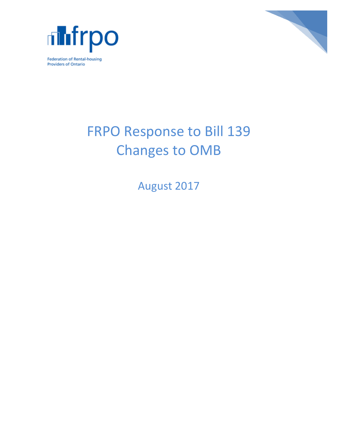



# FRPO Response to Bill 139 Changes to OMB

August 2017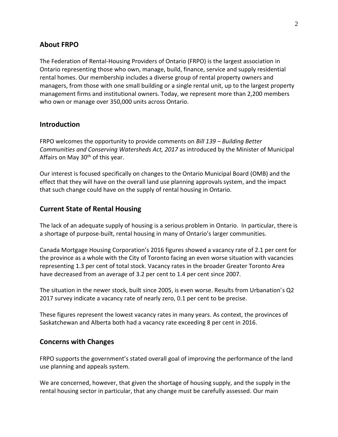## **About FRPO**

The Federation of Rental-Housing Providers of Ontario (FRPO) is the largest association in Ontario representing those who own, manage, build, finance, service and supply residential rental homes. Our membership includes a diverse group of rental property owners and managers, from those with one small building or a single rental unit, up to the largest property management firms and institutional owners. Today, we represent more than 2,200 members who own or manage over 350,000 units across Ontario.

### **Introduction**

FRPO welcomes the opportunity to provide comments on *Bill 139 – Building Better Communities and Conserving Watersheds Act, 2017* as introduced by the Minister of Municipal Affairs on May  $30<sup>th</sup>$  of this year.

Our interest is focused specifically on changes to the Ontario Municipal Board (OMB) and the effect that they will have on the overall land use planning approvals system, and the impact that such change could have on the supply of rental housing in Ontario.

#### **Current State of Rental Housing**

The lack of an adequate supply of housing is a serious problem in Ontario. In particular, there is a shortage of purpose-built, rental housing in many of Ontario's larger communities.

Canada Mortgage Housing Corporation's 2016 figures showed a vacancy rate of 2.1 per cent for the province as a whole with the City of Toronto facing an even worse situation with vacancies representing 1.3 per cent of total stock. Vacancy rates in the broader Greater Toronto Area have decreased from an average of 3.2 per cent to 1.4 per cent since 2007.

The situation in the newer stock, built since 2005, is even worse. Results from Urbanation's Q2 2017 survey indicate a vacancy rate of nearly zero, 0.1 per cent to be precise.

These figures represent the lowest vacancy rates in many years. As context, the provinces of Saskatchewan and Alberta both had a vacancy rate exceeding 8 per cent in 2016.

#### **Concerns with Changes**

FRPO supports the government's stated overall goal of improving the performance of the land use planning and appeals system.

We are concerned, however, that given the shortage of housing supply, and the supply in the rental housing sector in particular, that any change must be carefully assessed. Our main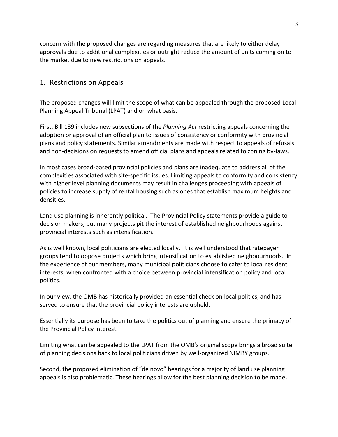concern with the proposed changes are regarding measures that are likely to either delay approvals due to additional complexities or outright reduce the amount of units coming on to the market due to new restrictions on appeals.

## 1. Restrictions on Appeals

The proposed changes will limit the scope of what can be appealed through the proposed Local Planning Appeal Tribunal (LPAT) and on what basis.

First, Bill 139 includes new subsections of the *Planning Act* restricting appeals concerning the adoption or approval of an official plan to issues of consistency or conformity with provincial plans and policy statements. Similar amendments are made with respect to appeals of refusals and non-decisions on requests to amend official plans and appeals related to zoning by-laws.

In most cases broad-based provincial policies and plans are inadequate to address all of the complexities associated with site-specific issues. Limiting appeals to conformity and consistency with higher level planning documents may result in challenges proceeding with appeals of policies to increase supply of rental housing such as ones that establish maximum heights and densities.

Land use planning is inherently political. The Provincial Policy statements provide a guide to decision makers, but many projects pit the interest of established neighbourhoods against provincial interests such as intensification.

As is well known, local politicians are elected locally. It is well understood that ratepayer groups tend to oppose projects which bring intensification to established neighbourhoods. In the experience of our members, many municipal politicians choose to cater to local resident interests, when confronted with a choice between provincial intensification policy and local politics.

In our view, the OMB has historically provided an essential check on local politics, and has served to ensure that the provincial policy interests are upheld.

Essentially its purpose has been to take the politics out of planning and ensure the primacy of the Provincial Policy interest.

Limiting what can be appealed to the LPAT from the OMB's original scope brings a broad suite of planning decisions back to local politicians driven by well-organized NIMBY groups.

Second, the proposed elimination of "de novo" hearings for a majority of land use planning appeals is also problematic. These hearings allow for the best planning decision to be made.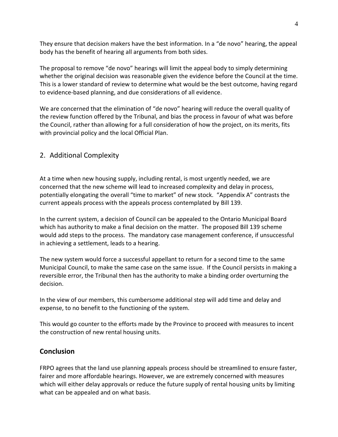They ensure that decision makers have the best information. In a "de novo" hearing, the appeal body has the benefit of hearing all arguments from both sides.

The proposal to remove "de novo" hearings will limit the appeal body to simply determining whether the original decision was reasonable given the evidence before the Council at the time. This is a lower standard of review to determine what would be the best outcome, having regard to evidence-based planning, and due considerations of all evidence.

We are concerned that the elimination of "de novo" hearing will reduce the overall quality of the review function offered by the Tribunal, and bias the process in favour of what was before the Council, rather than allowing for a full consideration of how the project, on its merits, fits with provincial policy and the local Official Plan.

## 2. Additional Complexity

At a time when new housing supply, including rental, is most urgently needed, we are concerned that the new scheme will lead to increased complexity and delay in process, potentially elongating the overall "time to market" of new stock. "Appendix A" contrasts the current appeals process with the appeals process contemplated by Bill 139.

In the current system, a decision of Council can be appealed to the Ontario Municipal Board which has authority to make a final decision on the matter. The proposed Bill 139 scheme would add steps to the process. The mandatory case management conference, if unsuccessful in achieving a settlement, leads to a hearing.

The new system would force a successful appellant to return for a second time to the same Municipal Council, to make the same case on the same issue. If the Council persists in making a reversible error, the Tribunal then has the authority to make a binding order overturning the decision.

In the view of our members, this cumbersome additional step will add time and delay and expense, to no benefit to the functioning of the system.

This would go counter to the efforts made by the Province to proceed with measures to incent the construction of new rental housing units.

## **Conclusion**

FRPO agrees that the land use planning appeals process should be streamlined to ensure faster, fairer and more affordable hearings. However, we are extremely concerned with measures which will either delay approvals or reduce the future supply of rental housing units by limiting what can be appealed and on what basis.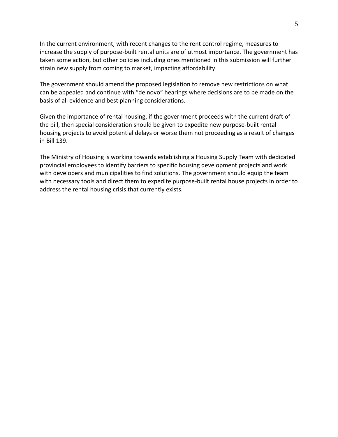In the current environment, with recent changes to the rent control regime, measures to increase the supply of purpose-built rental units are of utmost importance. The government has taken some action, but other policies including ones mentioned in this submission will further strain new supply from coming to market, impacting affordability.

The government should amend the proposed legislation to remove new restrictions on what can be appealed and continue with "de novo" hearings where decisions are to be made on the basis of all evidence and best planning considerations.

Given the importance of rental housing, if the government proceeds with the current draft of the bill, then special consideration should be given to expedite new purpose-built rental housing projects to avoid potential delays or worse them not proceeding as a result of changes in Bill 139.

The Ministry of Housing is working towards establishing a Housing Supply Team with dedicated provincial employees to identify barriers to specific housing development projects and work with developers and municipalities to find solutions. The government should equip the team with necessary tools and direct them to expedite purpose-built rental house projects in order to address the rental housing crisis that currently exists.